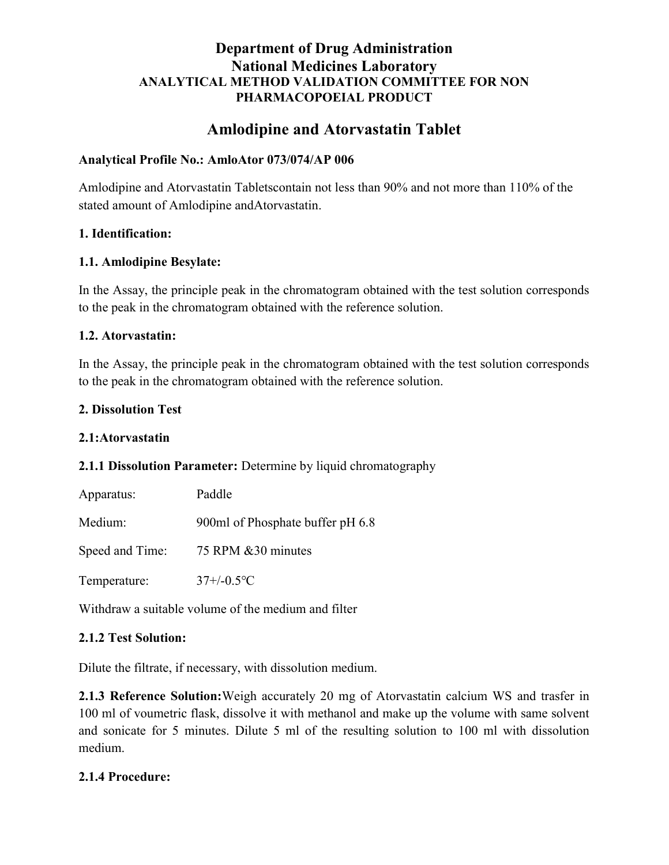# Amlodipine and Atorvastatin Tablet

#### Analytical Profile No.: AmloAtor 073/074/AP 006

Amlodipine and Atorvastatin Tabletscontain not less than 90% and not more than 110% of the stated amount of Amlodipine andAtorvastatin.

#### 1. Identification:

#### 1.1. Amlodipine Besylate:

In the Assay, the principle peak in the chromatogram obtained with the test solution corresponds to the peak in the chromatogram obtained with the reference solution.

#### 1.2. Atorvastatin:

In the Assay, the principle peak in the chromatogram obtained with the test solution corresponds to the peak in the chromatogram obtained with the reference solution.

#### 2. Dissolution Test

#### 2.1:Atorvastatin

### 2.1.1 Dissolution Parameter: Determine by liquid chromatography

| Apparatus:      | Paddle                           |
|-----------------|----------------------------------|
| Medium:         | 900ml of Phosphate buffer pH 6.8 |
| Speed and Time: | 75 RPM & 30 minutes              |
| Temperature:    | $37 + (-0.5$ <sup>o</sup> C      |

Withdraw a suitable volume of the medium and filter

### 2.1.2 Test Solution:

Dilute the filtrate, if necessary, with dissolution medium.

2.1.3 Reference Solution:Weigh accurately 20 mg of Atorvastatin calcium WS and trasfer in 100 ml of voumetric flask, dissolve it with methanol and make up the volume with same solvent and sonicate for 5 minutes. Dilute 5 ml of the resulting solution to 100 ml with dissolution medium.

### 2.1.4 Procedure: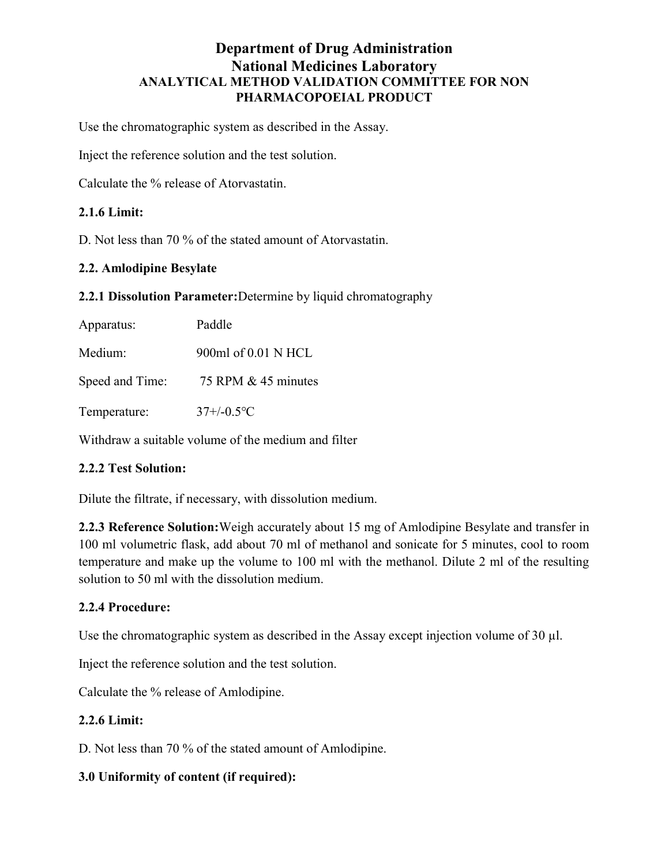Use the chromatographic system as described in the Assay.

Inject the reference solution and the test solution.

Calculate the % release of Atorvastatin.

### 2.1.6 Limit:

D. Not less than 70 % of the stated amount of Atorvastatin.

### 2.2. Amlodipine Besylate

2.2.1 Dissolution Parameter:Determine by liquid chromatography

| Apparatus:      | Paddle                      |
|-----------------|-----------------------------|
| Medium:         | 900ml of 0.01 N HCL         |
| Speed and Time: | 75 RPM $&$ 45 minutes       |
| Temperature:    | $37 + (-0.5$ <sup>o</sup> C |

Withdraw a suitable volume of the medium and filter

### 2.2.2 Test Solution:

Dilute the filtrate, if necessary, with dissolution medium.

2.2.3 Reference Solution:Weigh accurately about 15 mg of Amlodipine Besylate and transfer in 100 ml volumetric flask, add about 70 ml of methanol and sonicate for 5 minutes, cool to room temperature and make up the volume to 100 ml with the methanol. Dilute 2 ml of the resulting solution to 50 ml with the dissolution medium.

### 2.2.4 Procedure:

Use the chromatographic system as described in the Assay except injection volume of 30 µl.

Inject the reference solution and the test solution.

Calculate the % release of Amlodipine.

### 2.2.6 Limit:

D. Not less than 70 % of the stated amount of Amlodipine.

### 3.0 Uniformity of content (if required):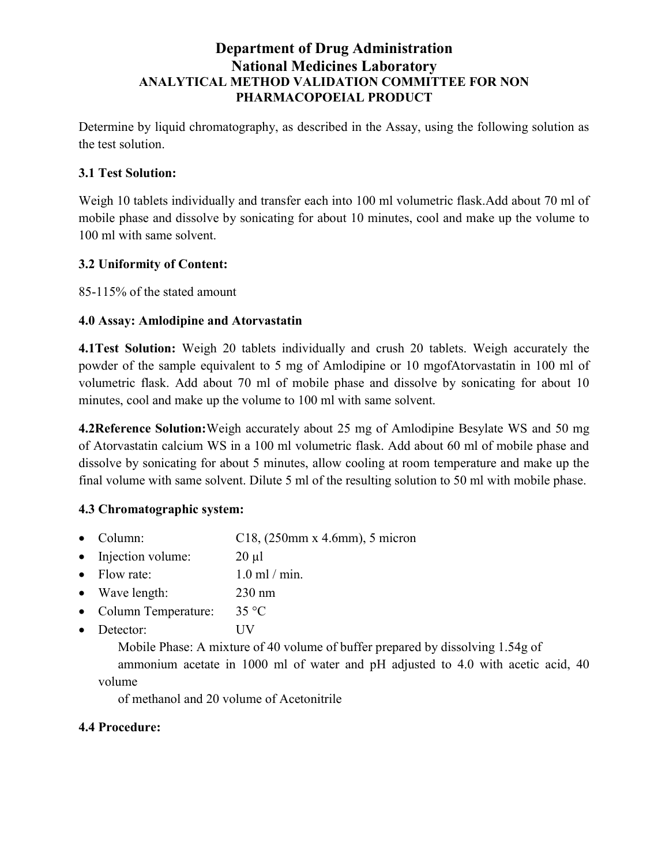Determine by liquid chromatography, as described in the Assay, using the following solution as the test solution.

# 3.1 Test Solution:

Weigh 10 tablets individually and transfer each into 100 ml volumetric flask.Add about 70 ml of mobile phase and dissolve by sonicating for about 10 minutes, cool and make up the volume to 100 ml with same solvent.

## 3.2 Uniformity of Content:

85-115% of the stated amount

## 4.0 Assay: Amlodipine and Atorvastatin

4.1Test Solution: Weigh 20 tablets individually and crush 20 tablets. Weigh accurately the powder of the sample equivalent to 5 mg of Amlodipine or 10 mgofAtorvastatin in 100 ml of volumetric flask. Add about 70 ml of mobile phase and dissolve by sonicating for about 10 minutes, cool and make up the volume to 100 ml with same solvent.

4.2Reference Solution:Weigh accurately about 25 mg of Amlodipine Besylate WS and 50 mg of Atorvastatin calcium WS in a 100 ml volumetric flask. Add about 60 ml of mobile phase and dissolve by sonicating for about 5 minutes, allow cooling at room temperature and make up the final volume with same solvent. Dilute 5 ml of the resulting solution to 50 ml with mobile phase.

### 4.3 Chromatographic system:

- Column:  $C18$ ,  $(250 \text{mm} \times 4.6 \text{mm})$ , 5 micron
- Injection volume:  $20 \text{ }\mu\text{l}$
- Flow rate:  $1.0 \text{ ml} / \text{min}$ .
- Wave length: 230 nm
- Column Temperature: 35 °C
- Detector: UV

Mobile Phase: A mixture of 40 volume of buffer prepared by dissolving 1.54g of

ammonium acetate in 1000 ml of water and pH adjusted to 4.0 with acetic acid, 40 volume

of methanol and 20 volume of Acetonitrile

### 4.4 Procedure: